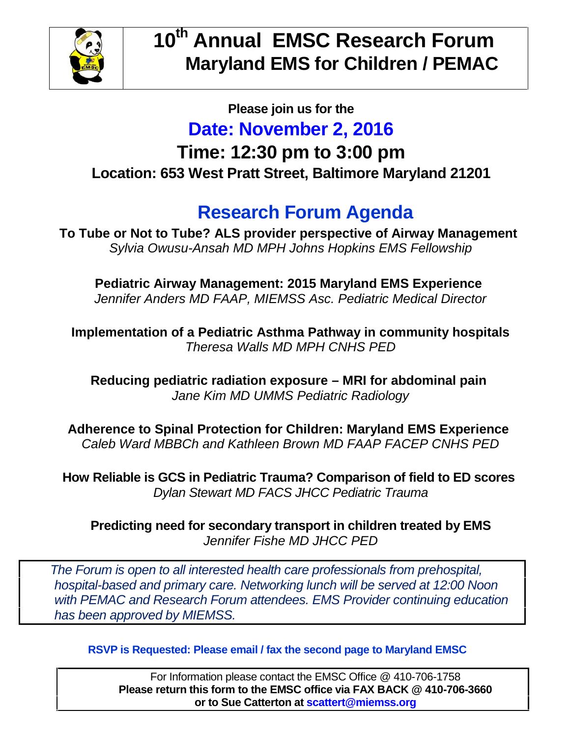

#### **Please join us for the**

#### **Date: November 2, 2016**

### **Time: 12:30 pm to 3:00 pm Location: 653 West Pratt Street, Baltimore Maryland 21201**

## **Research Forum Agenda**

**To Tube or Not to Tube? ALS provider perspective of Airway Management** *Sylvia Owusu-Ansah MD MPH Johns Hopkins EMS Fellowship*

**Pediatric Airway Management: 2015 Maryland EMS Experience** *Jennifer Anders MD FAAP, MIEMSS Asc. Pediatric Medical Director*

**Implementation of a Pediatric Asthma Pathway in community hospitals** *Theresa Walls MD MPH CNHS PED*

**Reducing pediatric radiation exposure – MRI for abdominal pain** *Jane Kim MD UMMS Pediatric Radiology*

**Adherence to Spinal Protection for Children: Maryland EMS Experience** *Caleb Ward MBBCh and Kathleen Brown MD FAAP FACEP CNHS PED*

**How Reliable is GCS in Pediatric Trauma? Comparison of field to ED scores** *Dylan Stewart MD FACS JHCC Pediatric Trauma*

**Predicting need for secondary transport in children treated by EMS** *Jennifer Fishe MD JHCC PED*

*The Forum is open to all interested health care professionals from prehospital, hospital-based and primary care. Networking lunch will be served at 12:00 Noon with PEMAC and Research Forum attendees. EMS Provider continuing education has been approved by MIEMSS.*

**RSVP is Requested: Please email / fax the second page to Maryland EMSC**

For Information please contact the EMSC Office @ 410-706-1758 **Please return this form to the EMSC office via FAX BACK @ 410-706-3660 or to Sue Catterton at scattert@miemss.org**